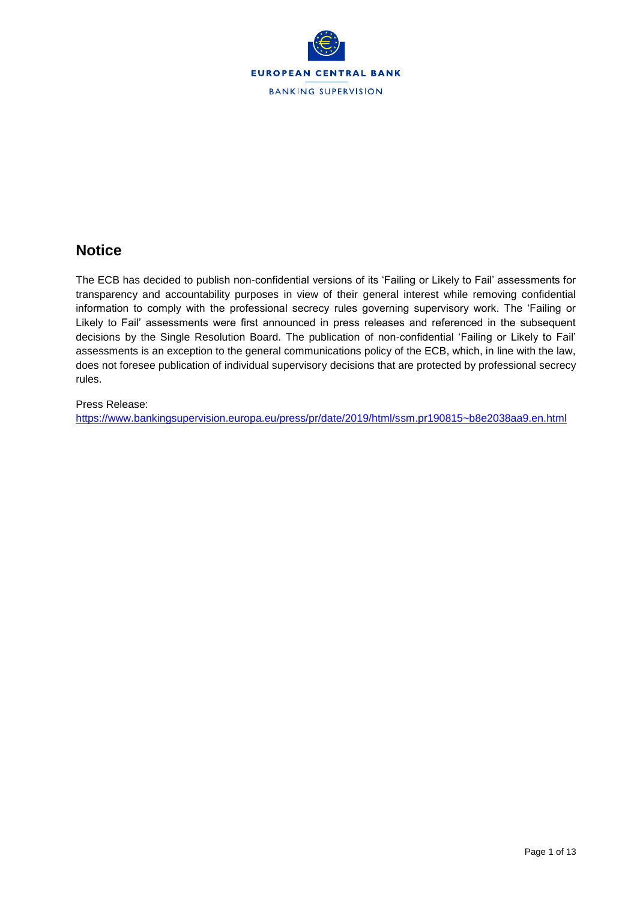

# **Notice**

The ECB has decided to publish non-confidential versions of its 'Failing or Likely to Fail' assessments for transparency and accountability purposes in view of their general interest while removing confidential information to comply with the professional secrecy rules governing supervisory work. The 'Failing or Likely to Fail' assessments were first announced in press releases and referenced in the subsequent decisions by the Single Resolution Board. The publication of non-confidential 'Failing or Likely to Fail' assessments is an exception to the general communications policy of the ECB, which, in line with the law, does not foresee publication of individual supervisory decisions that are protected by professional secrecy rules.

## Press Release:

<https://www.bankingsupervision.europa.eu/press/pr/date/2019/html/ssm.pr190815~b8e2038aa9.en.html>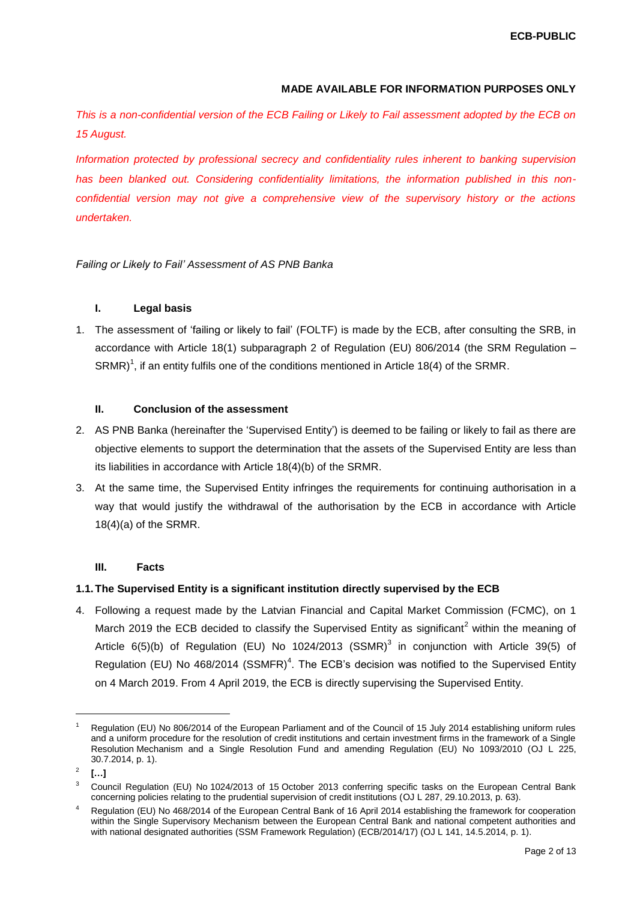### **MADE AVAILABLE FOR INFORMATION PURPOSES ONLY**

*This is a non-confidential version of the ECB Failing or Likely to Fail assessment adopted by the ECB on 15 August.* 

*Information protected by professional secrecy and confidentiality rules inherent to banking supervision has been blanked out. Considering confidentiality limitations, the information published in this nonconfidential version may not give a comprehensive view of the supervisory history or the actions undertaken.*

*Failing or Likely to Fail' Assessment of AS PNB Banka*

## **I. Legal basis**

1. The assessment of 'failing or likely to fail' (FOLTF) is made by the ECB, after consulting the SRB, in accordance with Article 18(1) subparagraph 2 of Regulation (EU) 806/2014 (the SRM Regulation – SRMR)<sup>1</sup>, if an entity fulfils one of the conditions mentioned in Article 18(4) of the SRMR.

#### **II. Conclusion of the assessment**

- 2. AS PNB Banka (hereinafter the 'Supervised Entity') is deemed to be failing or likely to fail as there are objective elements to support the determination that the assets of the Supervised Entity are less than its liabilities in accordance with Article 18(4)(b) of the SRMR.
- 3. At the same time, the Supervised Entity infringes the requirements for continuing authorisation in a way that would justify the withdrawal of the authorisation by the ECB in accordance with Article 18(4)(a) of the SRMR.

#### **III. Facts**

#### **1.1.The Supervised Entity is a significant institution directly supervised by the ECB**

4. Following a request made by the Latvian Financial and Capital Market Commission (FCMC), on 1 March 2019 the ECB decided to classify the Supervised Entity as significant<sup>2</sup> within the meaning of Article  $6(5)(b)$  of Regulation (EU) No 1024/2013 (SSMR)<sup>3</sup> in conjunction with Article 39(5) of Regulation (EU) No 468/2014 (SSMFR)<sup>4</sup>. The ECB's decision was notified to the Supervised Entity on 4 March 2019. From 4 April 2019, the ECB is directly supervising the Supervised Entity.

l

<sup>1</sup> Regulation (EU) No 806/2014 of the European Parliament and of the Council of 15 July 2014 establishing uniform rules and a uniform procedure for the resolution of credit institutions and certain investment firms in the framework of a Single Resolution Mechanism and a Single Resolution Fund and amending Regulation (EU) No 1093/2010 (OJ L 225, 30.7.2014, p. 1).

 $\overline{2}$ **[…]**

<sup>3</sup> Council Regulation (EU) No 1024/2013 of 15 October 2013 conferring specific tasks on the European Central Bank concerning policies relating to the prudential supervision of credit institutions (OJ L 287, 29.10.2013, p. 63).

<sup>4</sup> Regulation (EU) No 468/2014 of the European Central Bank of 16 April 2014 establishing the framework for cooperation within the Single Supervisory Mechanism between the European Central Bank and national competent authorities and with national designated authorities (SSM Framework Regulation) (ECB/2014/17) (OJ L 141, 14.5.2014, p. 1).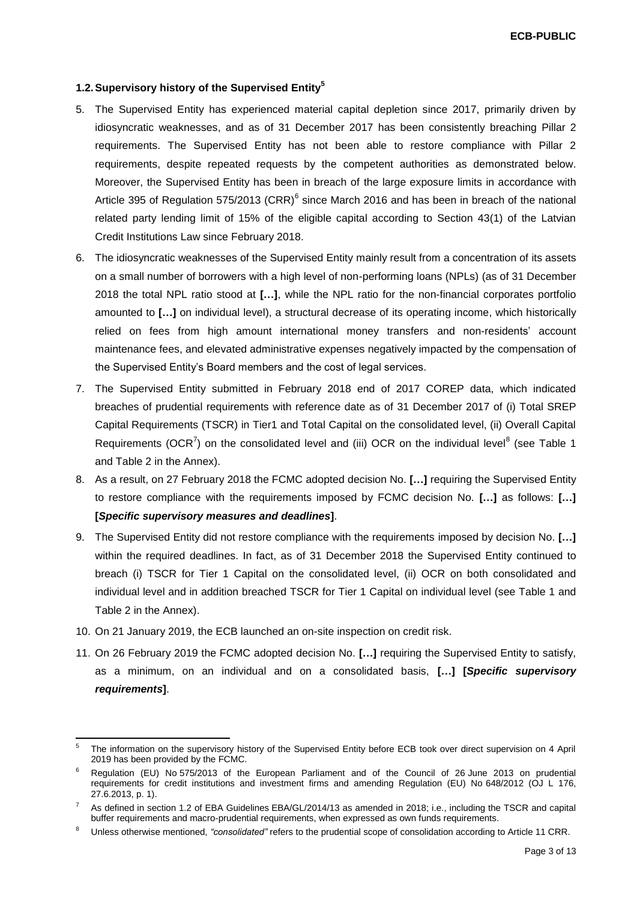## **1.2.Supervisory history of the Supervised Entity<sup>5</sup>**

- 5. The Supervised Entity has experienced material capital depletion since 2017, primarily driven by idiosyncratic weaknesses, and as of 31 December 2017 has been consistently breaching Pillar 2 requirements. The Supervised Entity has not been able to restore compliance with Pillar 2 requirements, despite repeated requests by the competent authorities as demonstrated below. Moreover, the Supervised Entity has been in breach of the large exposure limits in accordance with Article 395 of Regulation 575/2013 (CRR) $^6$  since March 2016 and has been in breach of the national related party lending limit of 15% of the eligible capital according to Section 43(1) of the Latvian Credit Institutions Law since February 2018.
- 6. The idiosyncratic weaknesses of the Supervised Entity mainly result from a concentration of its assets on a small number of borrowers with a high level of non-performing loans (NPLs) (as of 31 December 2018 the total NPL ratio stood at **[…]**, while the NPL ratio for the non-financial corporates portfolio amounted to **[…]** on individual level), a structural decrease of its operating income, which historically relied on fees from high amount international money transfers and non-residents' account maintenance fees, and elevated administrative expenses negatively impacted by the compensation of the Supervised Entity's Board members and the cost of legal services.
- 7. The Supervised Entity submitted in February 2018 end of 2017 COREP data, which indicated breaches of prudential requirements with reference date as of 31 December 2017 of (i) Total SREP Capital Requirements (TSCR) in Tier1 and Total Capital on the consolidated level, (ii) Overall Capital Requirements (OCR<sup>7</sup>) on the consolidated level and (iii) OCR on the individual level<sup>8</sup> (see Table 1 and Table 2 in the Annex).
- 8. As a result, on 27 February 2018 the FCMC adopted decision No. **[…]** requiring the Supervised Entity to restore compliance with the requirements imposed by FCMC decision No. **[…]** as follows: **[…] [***Specific supervisory measures and deadlines***]**.
- 9. The Supervised Entity did not restore compliance with the requirements imposed by decision No. **[…]** within the required deadlines. In fact, as of 31 December 2018 the Supervised Entity continued to breach (i) TSCR for Tier 1 Capital on the consolidated level, (ii) OCR on both consolidated and individual level and in addition breached TSCR for Tier 1 Capital on individual level (see Table 1 and Table 2 in the Annex).
- 10. On 21 January 2019, the ECB launched an on-site inspection on credit risk.

l

11. On 26 February 2019 the FCMC adopted decision No. **[…]** requiring the Supervised Entity to satisfy, as a minimum, on an individual and on a consolidated basis, **[…] [***Specific supervisory requirements***]**.

<sup>5</sup> The information on the supervisory history of the Supervised Entity before ECB took over direct supervision on 4 April 2019 has been provided by the FCMC.

<sup>6</sup> Regulation (EU) No 575/2013 of the European Parliament and of the Council of 26 June 2013 on prudential requirements for credit institutions and investment firms and amending Regulation (EU) No 648/2012 (OJ L 176, 27.6.2013, p. 1).

<sup>7</sup> As defined in section 1.2 of EBA Guidelines EBA/GL/2014/13 as amended in 2018; i.e., including the TSCR and capital buffer requirements and macro-prudential requirements, when expressed as own funds requirements.

<sup>8</sup> Unless otherwise mentioned, *"consolidated"* refers to the prudential scope of consolidation according to Article 11 CRR.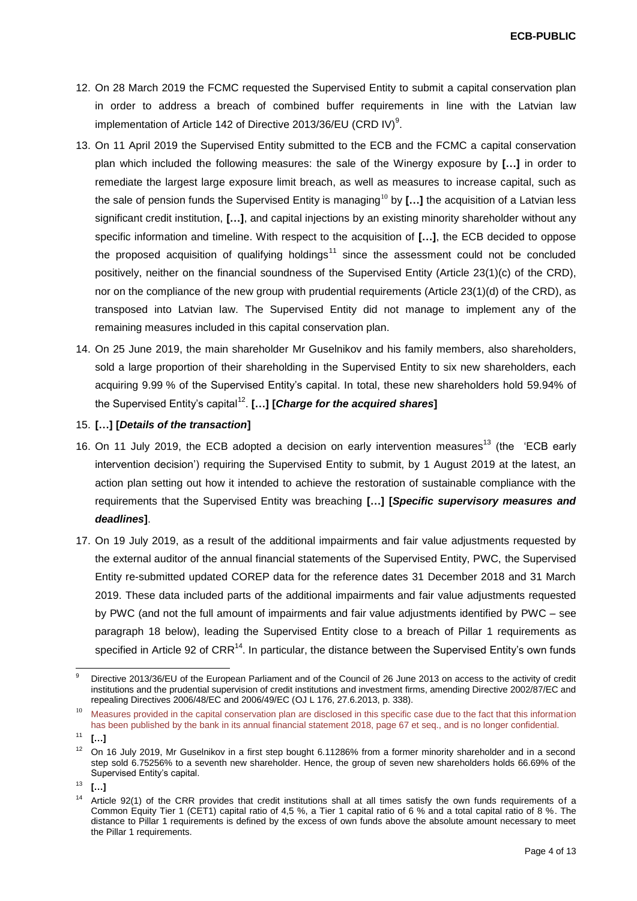**ECB-PUBLIC**

- 12. On 28 March 2019 the FCMC requested the Supervised Entity to submit a capital conservation plan in order to address a breach of combined buffer requirements in line with the Latvian law implementation of Article 142 of Directive 2013/36/EU (CRD IV)<sup>9</sup>.
- 13. On 11 April 2019 the Supervised Entity submitted to the ECB and the FCMC a capital conservation plan which included the following measures: the sale of the Winergy exposure by **[…]** in order to remediate the largest large exposure limit breach, as well as measures to increase capital, such as the sale of pension funds the Supervised Entity is managing<sup>10</sup> by **[...]** the acquisition of a Latvian less significant credit institution, **[…]**, and capital injections by an existing minority shareholder without any specific information and timeline. With respect to the acquisition of **[…]**, the ECB decided to oppose the proposed acquisition of qualifying holdings<sup>11</sup> since the assessment could not be concluded positively, neither on the financial soundness of the Supervised Entity (Article 23(1)(c) of the CRD), nor on the compliance of the new group with prudential requirements (Article 23(1)(d) of the CRD), as transposed into Latvian law. The Supervised Entity did not manage to implement any of the remaining measures included in this capital conservation plan.
- 14. On 25 June 2019, the main shareholder Mr Guselnikov and his family members, also shareholders, sold a large proportion of their shareholding in the Supervised Entity to six new shareholders, each acquiring 9.99 % of the Supervised Entity's capital. In total, these new shareholders hold 59.94% of the Supervised Entity's capital<sup>12</sup>. [...] [Charge for the acquired shares]

#### 15. **[…] [***Details of the transaction***]**

- 16. On 11 July 2019, the ECB adopted a decision on early intervention measures<sup>13</sup> (the 'ECB early intervention decision') requiring the Supervised Entity to submit, by 1 August 2019 at the latest, an action plan setting out how it intended to achieve the restoration of sustainable compliance with the requirements that the Supervised Entity was breaching **[…] [***Specific supervisory measures and deadlines***]**.
- 17. On 19 July 2019, as a result of the additional impairments and fair value adjustments requested by the external auditor of the annual financial statements of the Supervised Entity, PWC, the Supervised Entity re-submitted updated COREP data for the reference dates 31 December 2018 and 31 March 2019. These data included parts of the additional impairments and fair value adjustments requested by PWC (and not the full amount of impairments and fair value adjustments identified by PWC – see paragraph 18 below), leading the Supervised Entity close to a breach of Pillar 1 requirements as specified in Article 92 of  $CRR^{14}$ . In particular, the distance between the Supervised Entity's own funds

l 9 Directive 2013/36/EU of the European Parliament and of the Council of 26 June 2013 on access to the activity of credit institutions and the prudential supervision of credit institutions and investment firms, amending Directive 2002/87/EC and repealing Directives 2006/48/EC and 2006/49/EC (OJ L 176, 27.6.2013, p. 338).

<sup>&</sup>lt;sup>10</sup> Measures provided in the capital conservation plan are disclosed in this specific case due to the fact that this information has been published by the bank in its annual financial statement 2018, page 67 et seq., and is no longer confidential.

 $11 \t\t\t**l**...1$ 

<sup>&</sup>lt;sup>12</sup> On 16 July 2019, Mr Guselnikov in a first step bought 6.11286% from a former minority shareholder and in a second step sold 6.75256% to a seventh new shareholder. Hence, the group of seven new shareholders holds 66.69% of the Supervised Entity's capital.

<sup>13</sup> **[…]**

 $14$  Article 92(1) of the CRR provides that credit institutions shall at all times satisfy the own funds requirements of a Common Equity Tier 1 (CET1) capital ratio of 4,5 %, a Tier 1 capital ratio of 6 % and a total capital ratio of 8 %. The distance to Pillar 1 requirements is defined by the excess of own funds above the absolute amount necessary to meet the Pillar 1 requirements.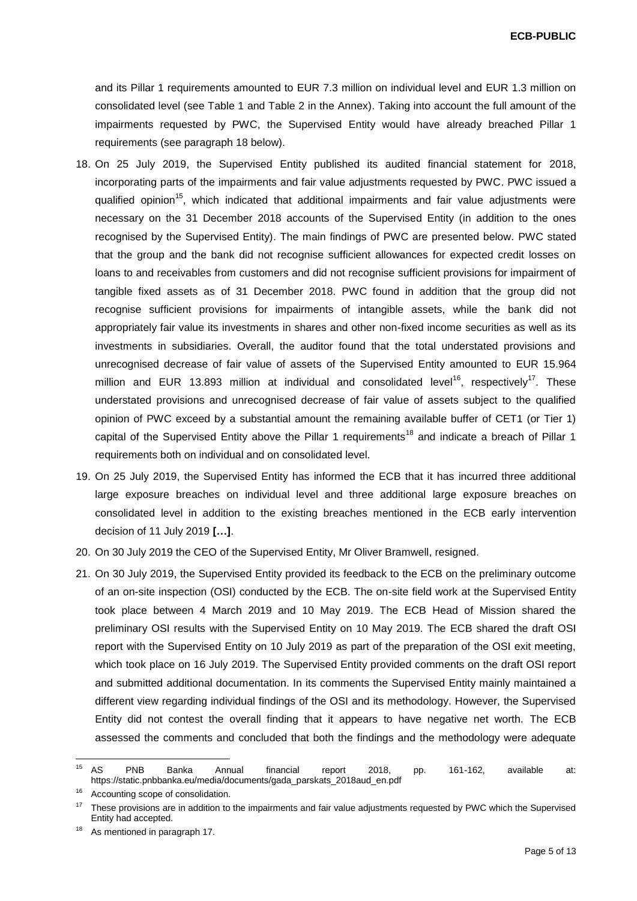**ECB-PUBLIC**

and its Pillar 1 requirements amounted to EUR 7.3 million on individual level and EUR 1.3 million on consolidated level (see Table 1 and Table 2 in the Annex). Taking into account the full amount of the impairments requested by PWC, the Supervised Entity would have already breached Pillar 1 requirements (see paragraph 18 below).

- 18. On 25 July 2019, the Supervised Entity published its audited financial statement for 2018, incorporating parts of the impairments and fair value adjustments requested by PWC. PWC issued a qualified opinion<sup>15</sup>, which indicated that additional impairments and fair value adjustments were necessary on the 31 December 2018 accounts of the Supervised Entity (in addition to the ones recognised by the Supervised Entity). The main findings of PWC are presented below. PWC stated that the group and the bank did not recognise sufficient allowances for expected credit losses on loans to and receivables from customers and did not recognise sufficient provisions for impairment of tangible fixed assets as of 31 December 2018. PWC found in addition that the group did not recognise sufficient provisions for impairments of intangible assets, while the bank did not appropriately fair value its investments in shares and other non-fixed income securities as well as its investments in subsidiaries. Overall, the auditor found that the total understated provisions and unrecognised decrease of fair value of assets of the Supervised Entity amounted to EUR 15.964 million and EUR 13.893 million at individual and consolidated level<sup>16</sup>, respectively<sup>17</sup>. These understated provisions and unrecognised decrease of fair value of assets subject to the qualified opinion of PWC exceed by a substantial amount the remaining available buffer of CET1 (or Tier 1) capital of the Supervised Entity above the Pillar 1 requirements<sup>18</sup> and indicate a breach of Pillar 1 requirements both on individual and on consolidated level.
- 19. On 25 July 2019, the Supervised Entity has informed the ECB that it has incurred three additional large exposure breaches on individual level and three additional large exposure breaches on consolidated level in addition to the existing breaches mentioned in the ECB early intervention decision of 11 July 2019 **[…]**.
- 20. On 30 July 2019 the CEO of the Supervised Entity, Mr Oliver Bramwell, resigned.
- 21. On 30 July 2019, the Supervised Entity provided its feedback to the ECB on the preliminary outcome of an on-site inspection (OSI) conducted by the ECB. The on-site field work at the Supervised Entity took place between 4 March 2019 and 10 May 2019. The ECB Head of Mission shared the preliminary OSI results with the Supervised Entity on 10 May 2019. The ECB shared the draft OSI report with the Supervised Entity on 10 July 2019 as part of the preparation of the OSI exit meeting, which took place on 16 July 2019. The Supervised Entity provided comments on the draft OSI report and submitted additional documentation. In its comments the Supervised Entity mainly maintained a different view regarding individual findings of the OSI and its methodology. However, the Supervised Entity did not contest the overall finding that it appears to have negative net worth. The ECB assessed the comments and concluded that both the findings and the methodology were adequate

 $15$ <sup>15</sup> AS PNB Banka Annual financial report 2018, pp. 161-162, available at: https://static.pnbbanka.eu/media/documents/gada\_parskats\_2018aud\_en.pdf

<sup>&</sup>lt;sup>16</sup> Accounting scope of consolidation.

<sup>&</sup>lt;sup>17</sup> These provisions are in addition to the impairments and fair value adjustments requested by PWC which the Supervised Entity had accepted.

<sup>&</sup>lt;sup>18</sup> As mentioned in paragraph 17.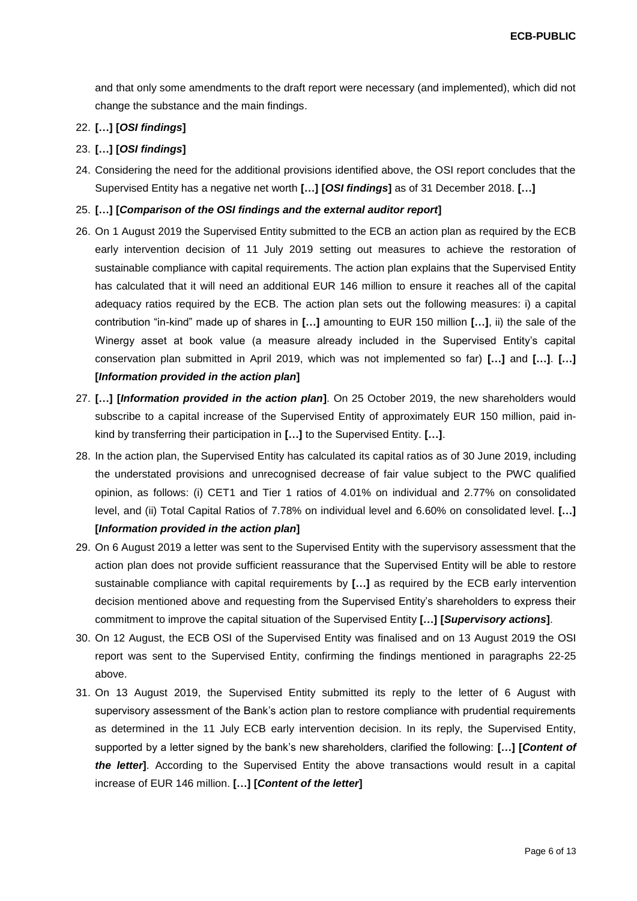and that only some amendments to the draft report were necessary (and implemented), which did not change the substance and the main findings.

# 22. **[…] [***OSI findings***]**

## 23. **[…] [***OSI findings***]**

24. Considering the need for the additional provisions identified above, the OSI report concludes that the Supervised Entity has a negative net worth **[…] [***OSI findings***]** as of 31 December 2018. **[…]**

#### 25. **[…] [***Comparison of the OSI findings and the external auditor report***]**

- 26. On 1 August 2019 the Supervised Entity submitted to the ECB an action plan as required by the ECB early intervention decision of 11 July 2019 setting out measures to achieve the restoration of sustainable compliance with capital requirements. The action plan explains that the Supervised Entity has calculated that it will need an additional EUR 146 million to ensure it reaches all of the capital adequacy ratios required by the ECB. The action plan sets out the following measures: i) a capital contribution "in-kind" made up of shares in **[…]** amounting to EUR 150 million **[…]**, ii) the sale of the Winergy asset at book value (a measure already included in the Supervised Entity's capital conservation plan submitted in April 2019, which was not implemented so far) **[…]** and **[…]**. **[…] [***Information provided in the action plan***]**
- 27. **[…] [***Information provided in the action plan***]**. On 25 October 2019, the new shareholders would subscribe to a capital increase of the Supervised Entity of approximately EUR 150 million, paid inkind by transferring their participation in **[…]** to the Supervised Entity. **[…]**.
- 28. In the action plan, the Supervised Entity has calculated its capital ratios as of 30 June 2019, including the understated provisions and unrecognised decrease of fair value subject to the PWC qualified opinion, as follows: (i) CET1 and Tier 1 ratios of 4.01% on individual and 2.77% on consolidated level, and (ii) Total Capital Ratios of 7.78% on individual level and 6.60% on consolidated level. **[…] [***Information provided in the action plan***]**
- 29. On 6 August 2019 a letter was sent to the Supervised Entity with the supervisory assessment that the action plan does not provide sufficient reassurance that the Supervised Entity will be able to restore sustainable compliance with capital requirements by **[…]** as required by the ECB early intervention decision mentioned above and requesting from the Supervised Entity's shareholders to express their commitment to improve the capital situation of the Supervised Entity **[…] [***Supervisory actions***]**.
- 30. On 12 August, the ECB OSI of the Supervised Entity was finalised and on 13 August 2019 the OSI report was sent to the Supervised Entity, confirming the findings mentioned in paragraphs 22-25 above.
- 31. On 13 August 2019, the Supervised Entity submitted its reply to the letter of 6 August with supervisory assessment of the Bank's action plan to restore compliance with prudential requirements as determined in the 11 July ECB early intervention decision. In its reply, the Supervised Entity, supported by a letter signed by the bank's new shareholders, clarified the following: **[…] [***Content of the letter***]**. According to the Supervised Entity the above transactions would result in a capital increase of EUR 146 million. **[…] [***Content of the letter***]**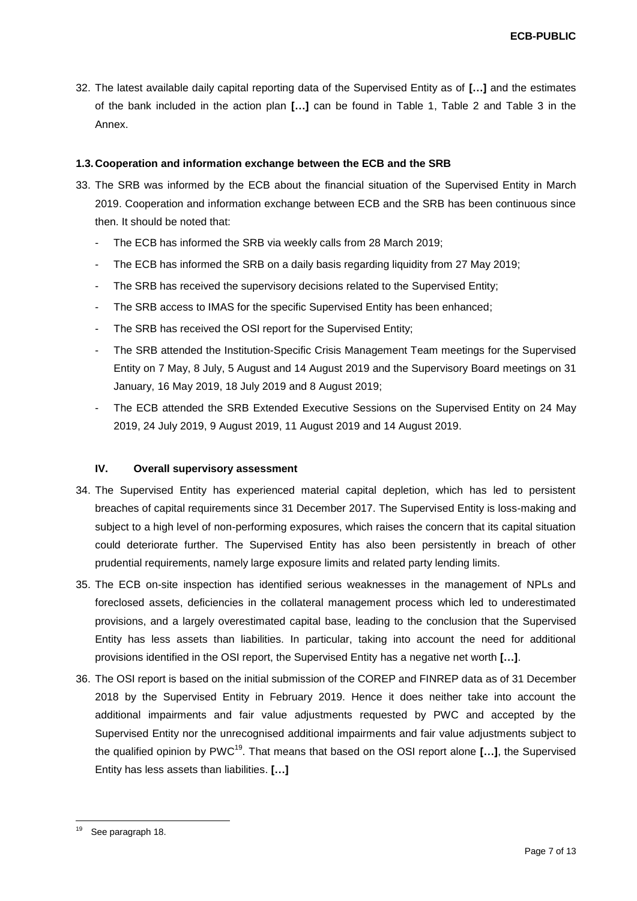32. The latest available daily capital reporting data of the Supervised Entity as of **[…]** and the estimates of the bank included in the action plan **[…]** can be found in Table 1, Table 2 and Table 3 in the Annex.

#### **1.3. Cooperation and information exchange between the ECB and the SRB**

- 33. The SRB was informed by the ECB about the financial situation of the Supervised Entity in March 2019. Cooperation and information exchange between ECB and the SRB has been continuous since then. It should be noted that:
	- The ECB has informed the SRB via weekly calls from 28 March 2019;
	- The ECB has informed the SRB on a daily basis regarding liquidity from 27 May 2019;
	- The SRB has received the supervisory decisions related to the Supervised Entity;
	- The SRB access to IMAS for the specific Supervised Entity has been enhanced;
	- The SRB has received the OSI report for the Supervised Entity;
	- The SRB attended the Institution-Specific Crisis Management Team meetings for the Supervised Entity on 7 May, 8 July, 5 August and 14 August 2019 and the Supervisory Board meetings on 31 January, 16 May 2019, 18 July 2019 and 8 August 2019;
	- The ECB attended the SRB Extended Executive Sessions on the Supervised Entity on 24 May 2019, 24 July 2019, 9 August 2019, 11 August 2019 and 14 August 2019.

## **IV. Overall supervisory assessment**

- 34. The Supervised Entity has experienced material capital depletion, which has led to persistent breaches of capital requirements since 31 December 2017. The Supervised Entity is loss-making and subject to a high level of non-performing exposures, which raises the concern that its capital situation could deteriorate further. The Supervised Entity has also been persistently in breach of other prudential requirements, namely large exposure limits and related party lending limits.
- 35. The ECB on-site inspection has identified serious weaknesses in the management of NPLs and foreclosed assets, deficiencies in the collateral management process which led to underestimated provisions, and a largely overestimated capital base, leading to the conclusion that the Supervised Entity has less assets than liabilities. In particular, taking into account the need for additional provisions identified in the OSI report, the Supervised Entity has a negative net worth **[…]**.
- 36. The OSI report is based on the initial submission of the COREP and FINREP data as of 31 December 2018 by the Supervised Entity in February 2019. Hence it does neither take into account the additional impairments and fair value adjustments requested by PWC and accepted by the Supervised Entity nor the unrecognised additional impairments and fair value adjustments subject to the qualified opinion by PWC<sup>19</sup>. That means that based on the OSI report alone **[…]**, the Supervised Entity has less assets than liabilities. **[…]**

<sup>19</sup> See paragraph 18.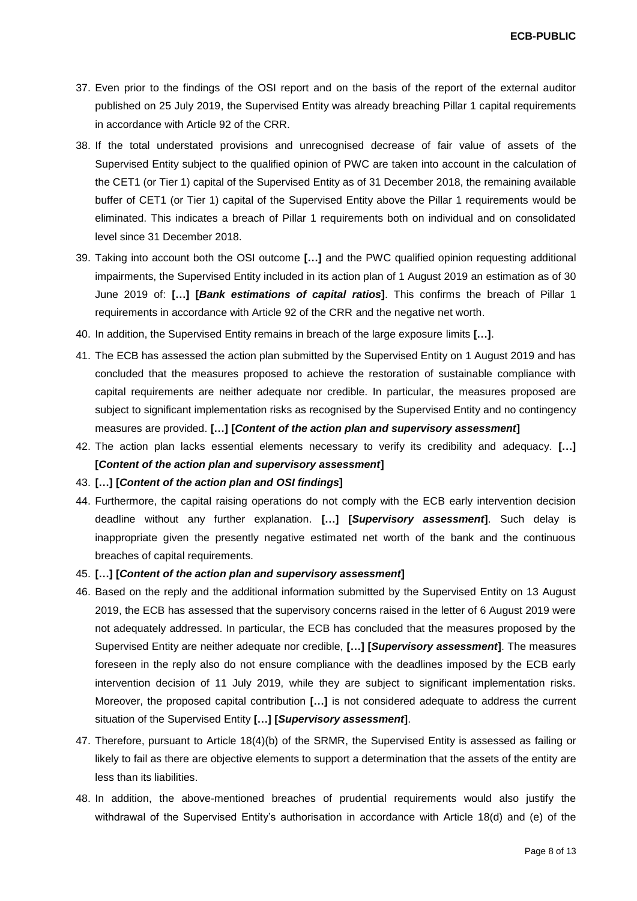**ECB-PUBLIC**

- 37. Even prior to the findings of the OSI report and on the basis of the report of the external auditor published on 25 July 2019, the Supervised Entity was already breaching Pillar 1 capital requirements in accordance with Article 92 of the CRR.
- 38. If the total understated provisions and unrecognised decrease of fair value of assets of the Supervised Entity subject to the qualified opinion of PWC are taken into account in the calculation of the CET1 (or Tier 1) capital of the Supervised Entity as of 31 December 2018, the remaining available buffer of CET1 (or Tier 1) capital of the Supervised Entity above the Pillar 1 requirements would be eliminated. This indicates a breach of Pillar 1 requirements both on individual and on consolidated level since 31 December 2018.
- 39. Taking into account both the OSI outcome **[…]** and the PWC qualified opinion requesting additional impairments, the Supervised Entity included in its action plan of 1 August 2019 an estimation as of 30 June 2019 of: **[…] [***Bank estimations of capital ratios***]**. This confirms the breach of Pillar 1 requirements in accordance with Article 92 of the CRR and the negative net worth.
- 40. In addition, the Supervised Entity remains in breach of the large exposure limits **[…]**.
- 41. The ECB has assessed the action plan submitted by the Supervised Entity on 1 August 2019 and has concluded that the measures proposed to achieve the restoration of sustainable compliance with capital requirements are neither adequate nor credible. In particular, the measures proposed are subject to significant implementation risks as recognised by the Supervised Entity and no contingency measures are provided. **[…] [***Content of the action plan and supervisory assessment***]**
- 42. The action plan lacks essential elements necessary to verify its credibility and adequacy. **[…] [***Content of the action plan and supervisory assessment***]**
- 43. **[…] [***Content of the action plan and OSI findings***]**
- 44. Furthermore, the capital raising operations do not comply with the ECB early intervention decision deadline without any further explanation. **[…] [***Supervisory assessment***]**. Such delay is inappropriate given the presently negative estimated net worth of the bank and the continuous breaches of capital requirements.
- 45. **[…] [***Content of the action plan and supervisory assessment***]**
- 46. Based on the reply and the additional information submitted by the Supervised Entity on 13 August 2019, the ECB has assessed that the supervisory concerns raised in the letter of 6 August 2019 were not adequately addressed. In particular, the ECB has concluded that the measures proposed by the Supervised Entity are neither adequate nor credible, **[…] [***Supervisory assessment***]**. The measures foreseen in the reply also do not ensure compliance with the deadlines imposed by the ECB early intervention decision of 11 July 2019, while they are subject to significant implementation risks. Moreover, the proposed capital contribution **[…]** is not considered adequate to address the current situation of the Supervised Entity **[…] [***Supervisory assessment***]**.
- 47. Therefore, pursuant to Article 18(4)(b) of the SRMR, the Supervised Entity is assessed as failing or likely to fail as there are objective elements to support a determination that the assets of the entity are less than its liabilities.
- 48. In addition, the above-mentioned breaches of prudential requirements would also justify the withdrawal of the Supervised Entity's authorisation in accordance with Article 18(d) and (e) of the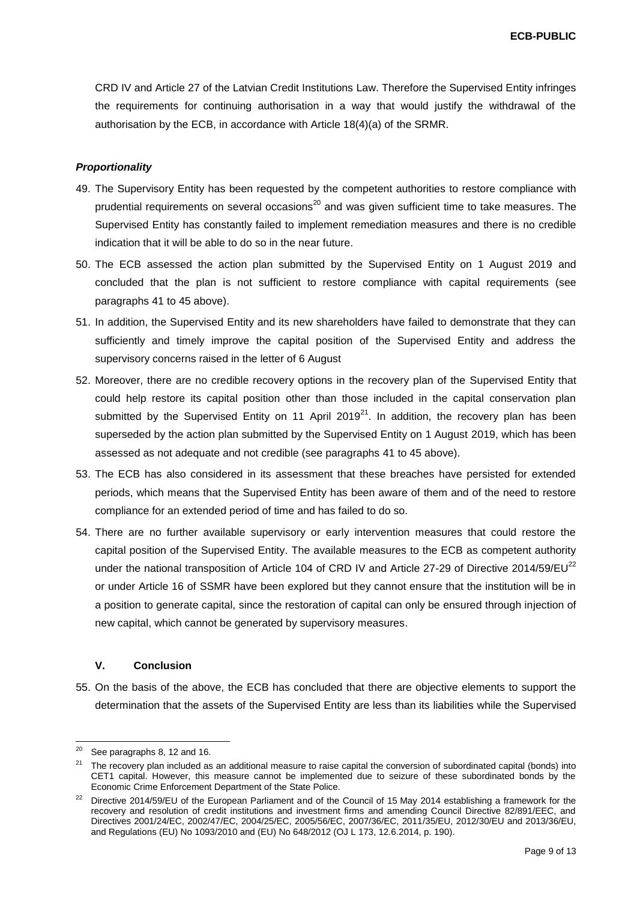CRD IV and Article 27 of the Latvian Credit Institutions Law. Therefore the Supervised Entity infringes the requirements for continuing authorisation in a way that would justify the withdrawal of the authorisation by the ECB, in accordance with Article 18(4)(a) of the SRMR.

#### *Proportionality*

- 49. The Supervisory Entity has been requested by the competent authorities to restore compliance with prudential requirements on several occasions<sup>20</sup> and was given sufficient time to take measures. The Supervised Entity has constantly failed to implement remediation measures and there is no credible indication that it will be able to do so in the near future.
- 50. The ECB assessed the action plan submitted by the Supervised Entity on 1 August 2019 and concluded that the plan is not sufficient to restore compliance with capital requirements (see paragraphs 41 to 45 above).
- 51. In addition, the Supervised Entity and its new shareholders have failed to demonstrate that they can sufficiently and timely improve the capital position of the Supervised Entity and address the supervisory concerns raised in the letter of 6 August
- 52. Moreover, there are no credible recovery options in the recovery plan of the Supervised Entity that could help restore its capital position other than those included in the capital conservation plan submitted by the Supervised Entity on 11 April 2019<sup>21</sup>. In addition, the recovery plan has been superseded by the action plan submitted by the Supervised Entity on 1 August 2019, which has been assessed as not adequate and not credible (see paragraphs 41 to 45 above).
- 53. The ECB has also considered in its assessment that these breaches have persisted for extended periods, which means that the Supervised Entity has been aware of them and of the need to restore compliance for an extended period of time and has failed to do so.
- 54. There are no further available supervisory or early intervention measures that could restore the capital position of the Supervised Entity. The available measures to the ECB as competent authority under the national transposition of Article 104 of CRD IV and Article 27-29 of Directive 2014/59/EU<sup>22</sup> or under Article 16 of SSMR have been explored but they cannot ensure that the institution will be in a position to generate capital, since the restoration of capital can only be ensured through injection of new capital, which cannot be generated by supervisory measures.

### **V. Conclusion**

55. On the basis of the above, the ECB has concluded that there are objective elements to support the determination that the assets of the Supervised Entity are less than its liabilities while the Supervised

l

 $20$  See paragraphs 8, 12 and 16.

<sup>&</sup>lt;sup>21</sup> The recovery plan included as an additional measure to raise capital the conversion of subordinated capital (bonds) into CET1 capital. However, this measure cannot be implemented due to seizure of these subordinated bonds by the Economic Crime Enforcement Department of the State Police.

<sup>&</sup>lt;sup>22</sup> Directive 2014/59/EU of the European Parliament and of the Council of 15 May 2014 establishing a framework for the recovery and resolution of credit institutions and investment firms and amending Council Directive 82/891/EEC, and Directives 2001/24/EC, 2002/47/EC, 2004/25/EC, 2005/56/EC, 2007/36/EC, 2011/35/EU, 2012/30/EU and 2013/36/EU, and Regulations (EU) No 1093/2010 and (EU) No 648/2012 (OJ L 173, 12.6.2014, p. 190).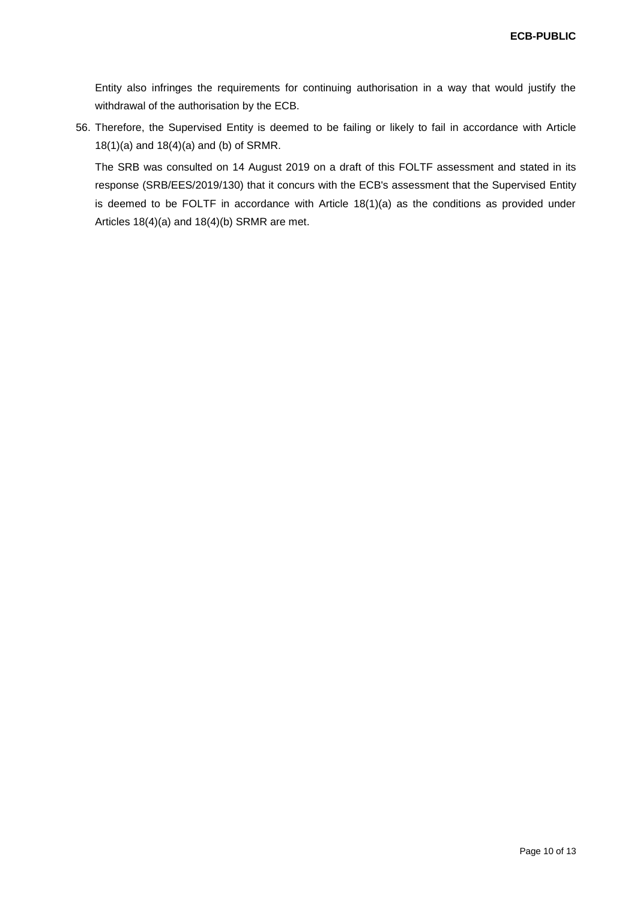Entity also infringes the requirements for continuing authorisation in a way that would justify the withdrawal of the authorisation by the ECB.

56. Therefore, the Supervised Entity is deemed to be failing or likely to fail in accordance with Article 18(1)(a) and 18(4)(a) and (b) of SRMR.

The SRB was consulted on 14 August 2019 on a draft of this FOLTF assessment and stated in its response (SRB/EES/2019/130) that it concurs with the ECB's assessment that the Supervised Entity is deemed to be FOLTF in accordance with Article 18(1)(a) as the conditions as provided under Articles 18(4)(a) and 18(4)(b) SRMR are met.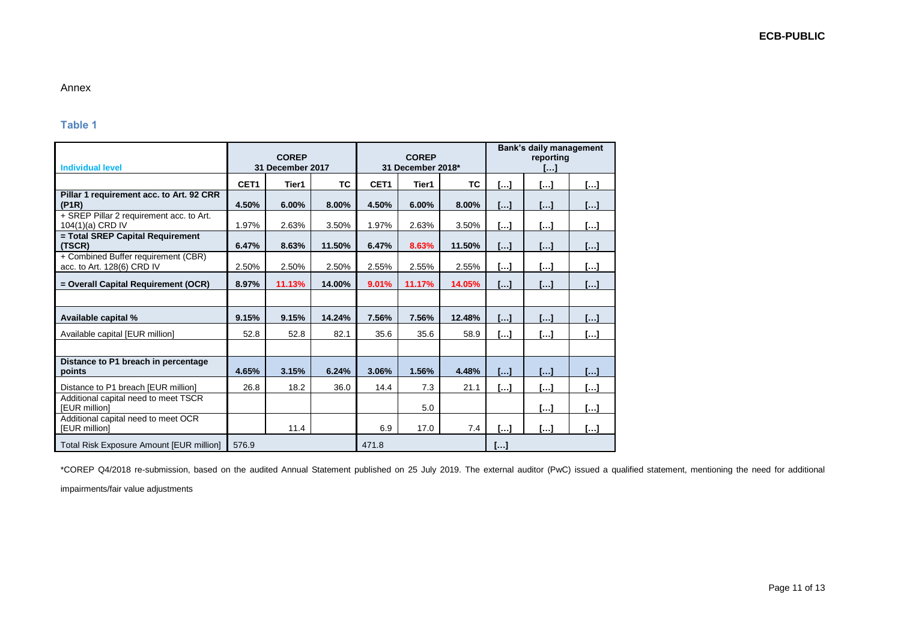## Annex

## **Table 1**

| <b>Individual level</b>                                           | <b>COREP</b><br>31 December 2017 |        |           | <b>COREP</b><br>31 December 2018* |        |           | <b>Bank's daily management</b><br>reporting<br>$\left[\ldots\right]$ |                       |                       |
|-------------------------------------------------------------------|----------------------------------|--------|-----------|-----------------------------------|--------|-----------|----------------------------------------------------------------------|-----------------------|-----------------------|
|                                                                   | CET <sub>1</sub>                 | Tier1  | <b>TC</b> | CET <sub>1</sub>                  | Tier1  | <b>TC</b> | $\left[\ldots\right]$                                                | []                    | $[]$                  |
| Pillar 1 requirement acc. to Art. 92 CRR<br>(P1R)                 | 4.50%                            | 6.00%  | 8.00%     | 4.50%                             | 6.00%  | 8.00%     | […]                                                                  | []                    | $\left[\ldots\right]$ |
| + SREP Pillar 2 requirement acc. to Art.<br>104(1)(a) CRD IV      | 1.97%                            | 2.63%  | 3.50%     | 1.97%                             | 2.63%  | 3.50%     | […]                                                                  | $\left[\ldots\right]$ | []                    |
| = Total SREP Capital Requirement<br>(TSCR)                        | 6.47%                            | 8.63%  | 11.50%    | 6.47%                             | 8.63%  | 11.50%    | [. . ]                                                               | $\left[\ldots\right]$ | […]                   |
| + Combined Buffer requirement (CBR)<br>acc. to Art. 128(6) CRD IV | 2.50%                            | 2.50%  | 2.50%     | 2.55%                             | 2.55%  | 2.55%     | […]                                                                  | $\left[\ldots\right]$ | […]                   |
| = Overall Capital Requirement (OCR)                               | 8.97%                            | 11.13% | 14.00%    | 9.01%                             | 11.17% | 14.05%    | []                                                                   | $\left[\ldots\right]$ | $\left[  \right]$     |
|                                                                   |                                  |        |           |                                   |        |           |                                                                      |                       |                       |
| Available capital %                                               | 9.15%                            | 9.15%  | 14.24%    | 7.56%                             | 7.56%  | 12.48%    | $\left[\ldots\right]$                                                | $\left[\ldots\right]$ | […]                   |
| Available capital [EUR million]                                   | 52.8                             | 52.8   | 82.1      | 35.6                              | 35.6   | 58.9      | $\left[\ldots\right]$                                                | $\left[\ldots\right]$ | $[]$                  |
|                                                                   |                                  |        |           |                                   |        |           |                                                                      |                       |                       |
| Distance to P1 breach in percentage<br>points                     | 4.65%                            | 3.15%  | 6.24%     | 3.06%                             | 1.56%  | 4.48%     | M                                                                    | $\Box$                | $\mathsf{L}$          |
| Distance to P1 breach [EUR million]                               | 26.8                             | 18.2   | 36.0      | 14.4                              | 7.3    | 21.1      | […]                                                                  | $\left[\ldots\right]$ | […]                   |
| Additional capital need to meet TSCR<br><b>IEUR</b> millionl      |                                  |        |           |                                   | 5.0    |           |                                                                      | $\left[\ldots\right]$ | []                    |
| Additional capital need to meet OCR<br>[EUR million]              |                                  | 11.4   |           | 6.9                               | 17.0   | 7.4       | […]                                                                  | $\left[\ldots\right]$ | $\left[\ldots\right]$ |
| Total Risk Exposure Amount [EUR million]                          | 576.9                            |        |           | 471.8                             |        |           | $[]$                                                                 |                       |                       |

\*COREP Q4/2018 re-submission, based on the audited Annual Statement published on 25 July 2019. The external auditor (PwC) issued a qualified statement, mentioning the need for additional

impairments/fair value adjustments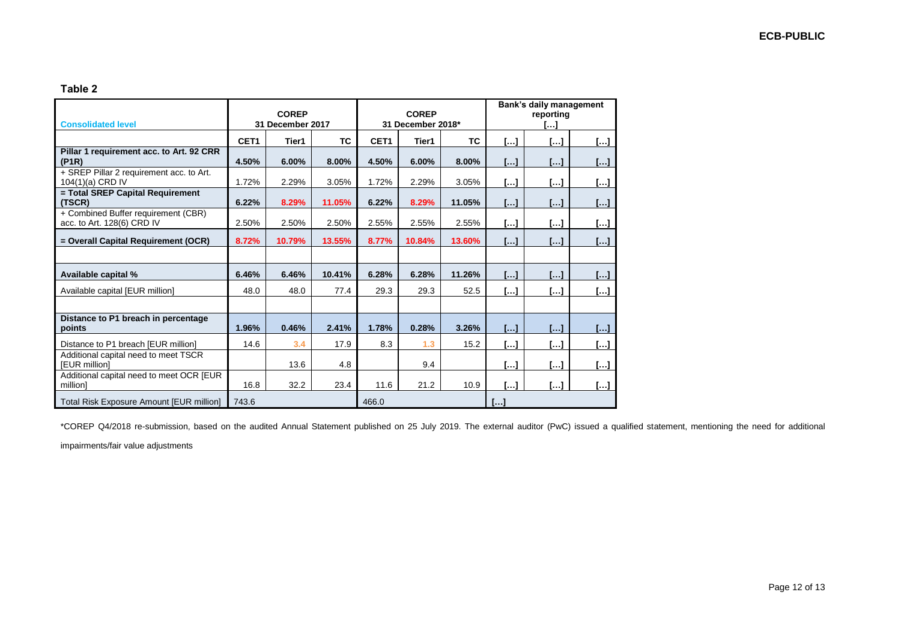## **Table 2**

| <b>Consolidated level</b>                                         | <b>COREP</b><br>31 December 2017 |        |           | <b>COREP</b><br>31 December 2018* |        |           | Bank's daily management<br>reportina<br>. 1 |                         |                                        |
|-------------------------------------------------------------------|----------------------------------|--------|-----------|-----------------------------------|--------|-----------|---------------------------------------------|-------------------------|----------------------------------------|
|                                                                   | CET <sub>1</sub>                 | Tier1  | <b>TC</b> | CET <sub>1</sub>                  | Tier1  | <b>TC</b> | $\left[\ldots\right]$                       | $\left[\ldots\right]$   | $\left[\ldots\right]$                  |
| Pillar 1 requirement acc. to Art. 92 CRR<br>(PIR)                 | 4.50%                            | 6.00%  | 8.00%     | 4.50%                             | 6.00%  | 8.00%     | LJ.                                         | I I                     | $\left[\ldots\right]$                  |
| + SREP Pillar 2 requirement acc. to Art.<br>104(1)(a) CRD IV      | 1.72%                            | 2.29%  | 3.05%     | 1.72%                             | 2.29%  | 3.05%     | $\left[\ldots\right]$                       | […]                     | $\left[\ldots\right]$                  |
| = Total SREP Capital Requirement<br>(TSCR)                        | 6.22%                            | 8.29%  | 11.05%    | 6.22%                             | 8.29%  | 11.05%    | LJ.                                         | [. . ]                  | []                                     |
| + Combined Buffer requirement (CBR)<br>acc. to Art. 128(6) CRD IV | 2.50%                            | 2.50%  | 2.50%     | 2.55%                             | 2.55%  | 2.55%     | $\left[\ldots\right]$                       | $\left[ \ldots \right]$ | $\left[\ldots\right]$                  |
| = Overall Capital Requirement (OCR)                               | 8.72%                            | 10.79% | 13.55%    | 8.77%                             | 10.84% | 13.60%    | $\left[\ldots\right]$                       | $\Box$                  | $\left[\ldots\right]$                  |
|                                                                   |                                  |        |           |                                   |        |           |                                             |                         |                                        |
| Available capital %                                               | 6.46%                            | 6.46%  | 10.41%    | 6.28%                             | 6.28%  | 11.26%    | $\left[\ldots\right]$                       | $\left[\ldots\right]$   | $\left[\ldots\right]$                  |
| Available capital [EUR million]                                   | 48.0                             | 48.0   | 77.4      | 29.3                              | 29.3   | 52.5      | $\left[\ldots\right]$                       | $\left[\ldots\right]$   | $\begin{bmatrix} \cdots \end{bmatrix}$ |
|                                                                   |                                  |        |           |                                   |        |           |                                             |                         |                                        |
| Distance to P1 breach in percentage<br>points                     | 1.96%                            | 0.46%  | 2.41%     | 1.78%                             | 0.28%  | 3.26%     | $\left[\ldots\right]$                       | $\left[\ldots\right]$   | $\left[\ldots\right]$                  |
| Distance to P1 breach [EUR million]                               | 14.6                             | 3.4    | 17.9      | 8.3                               | 1.3    | 15.2      | $\left[\ldots\right]$                       | […]                     | $\left[\ldots\right]$                  |
| Additional capital need to meet TSCR<br><b>IEUR</b> millionl      |                                  | 13.6   | 4.8       |                                   | 9.4    |           | []                                          | $\left[\ldots\right]$   | $\left[\ldots\right]$                  |
| Additional capital need to meet OCR [EUR<br>millionl              | 16.8                             | 32.2   | 23.4      | 11.6                              | 21.2   | 10.9      | []                                          | []                      | $\left[\ldots\right]$                  |
| Total Risk Exposure Amount [EUR million]                          | 743.6                            |        |           | 466.0                             |        |           | $\left[\begin{array}{c} \end{array}\right]$ |                         |                                        |

\*COREP Q4/2018 re-submission, based on the audited Annual Statement published on 25 July 2019. The external auditor (PwC) issued a qualified statement, mentioning the need for additional

impairments/fair value adjustments